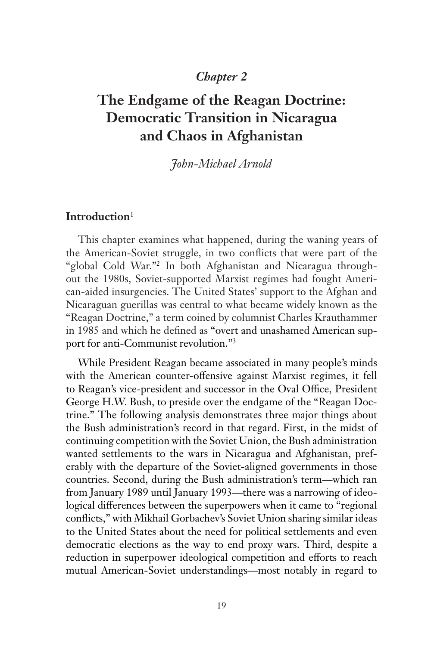## *Chapter 2*

# **The Endgame of the Reagan Doctrine: Democratic Transition in Nicaragua and Chaos in Afghanistan**

## *John-Michael Arnold*

### **Introduction**<sup>1</sup>

This chapter examines what happened, during the waning years of the American-Soviet struggle, in two conflicts that were part of the "global Cold War."2 In both Afghanistan and Nicaragua throughout the 1980s, Soviet-supported Marxist regimes had fought American-aided insurgencies. The United States' support to the Afghan and Nicaraguan guerillas was central to what became widely known as the "Reagan Doctrine," a term coined by columnist Charles Krauthammer in 1985 and which he defined as "overt and unashamed American support for anti-Communist revolution."3

While President Reagan became associated in many people's minds with the American counter-offensive against Marxist regimes, it fell to Reagan's vice-president and successor in the Oval Office, President George H.W. Bush, to preside over the endgame of the "Reagan Doctrine." The following analysis demonstrates three major things about the Bush administration's record in that regard. First, in the midst of continuing competition with the Soviet Union, the Bush administration wanted settlements to the wars in Nicaragua and Afghanistan, preferably with the departure of the Soviet-aligned governments in those countries. Second, during the Bush administration's term—which ran from January 1989 until January 1993—there was a narrowing of ideological differences between the superpowers when it came to "regional conflicts," with Mikhail Gorbachev's Soviet Union sharing similar ideas to the United States about the need for political settlements and even democratic elections as the way to end proxy wars. Third, despite a reduction in superpower ideological competition and efforts to reach mutual American-Soviet understandings—most notably in regard to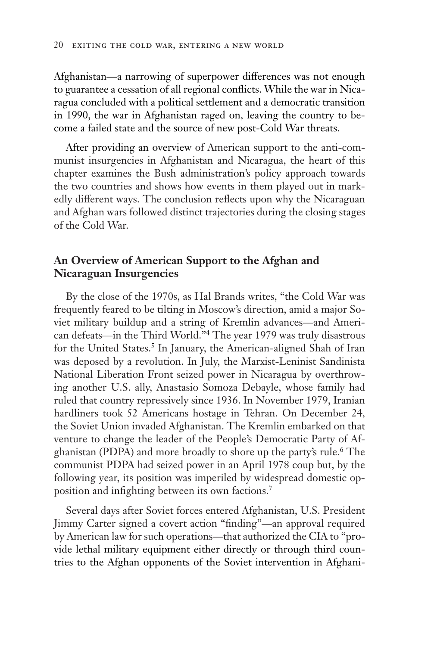Afghanistan—a narrowing of superpower differences was not enough to guarantee a cessation of all regional conflicts. While the war in Nicaragua concluded with a political settlement and a democratic transition in 1990, the war in Afghanistan raged on, leaving the country to become a failed state and the source of new post-Cold War threats.

After providing an overview of American support to the anti-communist insurgencies in Afghanistan and Nicaragua, the heart of this chapter examines the Bush administration's policy approach towards the two countries and shows how events in them played out in markedly different ways. The conclusion reflects upon why the Nicaraguan and Afghan wars followed distinct trajectories during the closing stages of the Cold War.

### **An Overview of American Support to the Afghan and Nicaraguan Insurgencies**

By the close of the 1970s, as Hal Brands writes, "the Cold War was frequently feared to be tilting in Moscow's direction, amid a major Soviet military buildup and a string of Kremlin advances—and American defeats—in the Third World."4 The year 1979 was truly disastrous for the United States.<sup>5</sup> In January, the American-aligned Shah of Iran was deposed by a revolution. In July, the Marxist-Leninist Sandinista National Liberation Front seized power in Nicaragua by overthrowing another U.S. ally, Anastasio Somoza Debayle, whose family had ruled that country repressively since 1936. In November 1979, Iranian hardliners took 52 Americans hostage in Tehran. On December 24, the Soviet Union invaded Afghanistan. The Kremlin embarked on that venture to change the leader of the People's Democratic Party of Afghanistan (PDPA) and more broadly to shore up the party's rule.6 The communist PDPA had seized power in an April 1978 coup but, by the following year, its position was imperiled by widespread domestic opposition and infighting between its own factions.7

Several days after Soviet forces entered Afghanistan, U.S. President Jimmy Carter signed a covert action "finding"—an approval required by American law for such operations—that authorized the CIA to "provide lethal military equipment either directly or through third countries to the Afghan opponents of the Soviet intervention in Afghani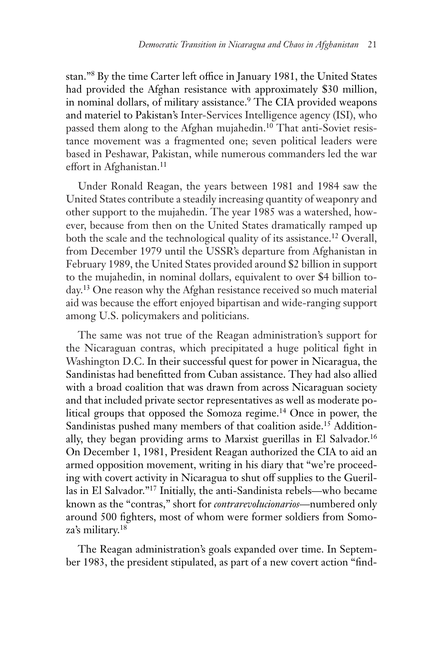stan."8 By the time Carter left office in January 1981, the United States had provided the Afghan resistance with approximately \$30 million, in nominal dollars, of military assistance.<sup>9</sup> The CIA provided weapons and materiel to Pakistan's Inter-Services Intelligence agency (ISI), who passed them along to the Afghan mujahedin.<sup>10</sup> That anti-Soviet resistance movement was a fragmented one; seven political leaders were based in Peshawar, Pakistan, while numerous commanders led the war effort in Afghanistan.<sup>11</sup>

Under Ronald Reagan, the years between 1981 and 1984 saw the United States contribute a steadily increasing quantity of weaponry and other support to the mujahedin. The year 1985 was a watershed, however, because from then on the United States dramatically ramped up both the scale and the technological quality of its assistance.<sup>12</sup> Overall, from December 1979 until the USSR's departure from Afghanistan in February 1989, the United States provided around \$2 billion in support to the mujahedin, in nominal dollars, equivalent to over \$4 billion today.<sup>13</sup> One reason why the Afghan resistance received so much material aid was because the effort enjoyed bipartisan and wide-ranging support among U.S. policymakers and politicians.

The same was not true of the Reagan administration's support for the Nicaraguan contras, which precipitated a huge political fight in Washington D.C. In their successful quest for power in Nicaragua, the Sandinistas had benefitted from Cuban assistance. They had also allied with a broad coalition that was drawn from across Nicaraguan society and that included private sector representatives as well as moderate political groups that opposed the Somoza regime.14 Once in power, the Sandinistas pushed many members of that coalition aside.<sup>15</sup> Additionally, they began providing arms to Marxist guerillas in El Salvador.<sup>16</sup> On December 1, 1981, President Reagan authorized the CIA to aid an armed opposition movement, writing in his diary that "we're proceeding with covert activity in Nicaragua to shut off supplies to the Guerillas in El Salvador."17 Initially, the anti-Sandinista rebels—who became known as the "contras," short for *contrarevolucionarios*—numbered only around 500 fighters, most of whom were former soldiers from Somoza's military.18

The Reagan administration's goals expanded over time. In September 1983, the president stipulated, as part of a new covert action "find-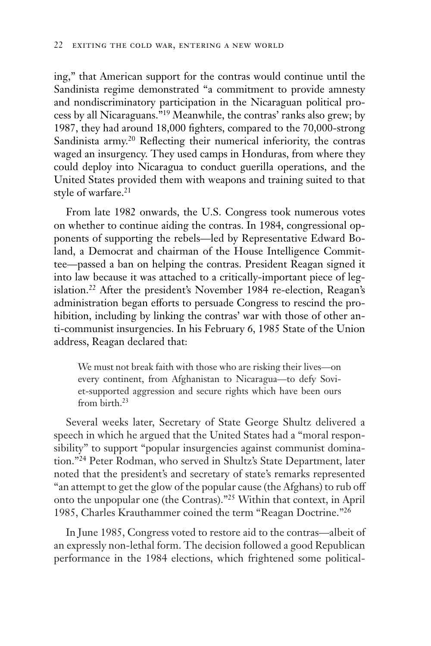ing," that American support for the contras would continue until the Sandinista regime demonstrated "a commitment to provide amnesty and nondiscriminatory participation in the Nicaraguan political process by all Nicaraguans."19 Meanwhile, the contras' ranks also grew; by 1987, they had around 18,000 fighters, compared to the 70,000-strong Sandinista army.<sup>20</sup> Reflecting their numerical inferiority, the contras waged an insurgency. They used camps in Honduras, from where they could deploy into Nicaragua to conduct guerilla operations, and the United States provided them with weapons and training suited to that style of warfare.<sup>21</sup>

From late 1982 onwards, the U.S. Congress took numerous votes on whether to continue aiding the contras. In 1984, congressional opponents of supporting the rebels—led by Representative Edward Boland, a Democrat and chairman of the House Intelligence Committee—passed a ban on helping the contras. President Reagan signed it into law because it was attached to a critically-important piece of legislation.22 After the president's November 1984 re-election, Reagan's administration began efforts to persuade Congress to rescind the prohibition, including by linking the contras' war with those of other anti-communist insurgencies. In his February 6, 1985 State of the Union address, Reagan declared that:

We must not break faith with those who are risking their lives—on every continent, from Afghanistan to Nicaragua—to defy Soviet-supported aggression and secure rights which have been ours from birth.23

Several weeks later, Secretary of State George Shultz delivered a speech in which he argued that the United States had a "moral responsibility" to support "popular insurgencies against communist domination."24 Peter Rodman, who served in Shultz's State Department, later noted that the president's and secretary of state's remarks represented "an attempt to get the glow of the popular cause (the Afghans) to rub off onto the unpopular one (the Contras)."25 Within that context, in April 1985, Charles Krauthammer coined the term "Reagan Doctrine."26

In June 1985, Congress voted to restore aid to the contras—albeit of an expressly non-lethal form. The decision followed a good Republican performance in the 1984 elections, which frightened some political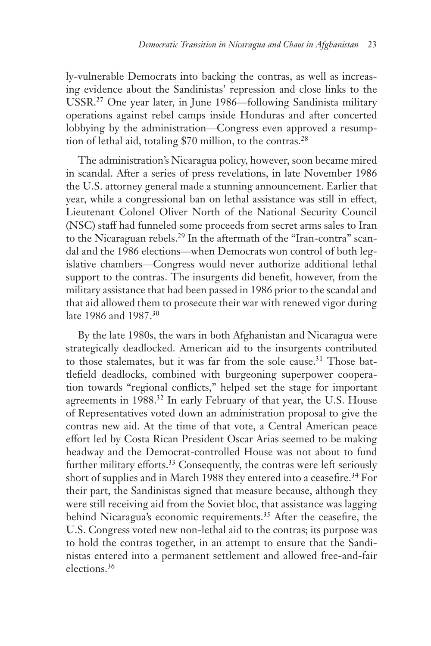ly-vulnerable Democrats into backing the contras, as well as increasing evidence about the Sandinistas' repression and close links to the USSR.27 One year later, in June 1986—following Sandinista military operations against rebel camps inside Honduras and after concerted lobbying by the administration—Congress even approved a resumption of lethal aid, totaling \$70 million, to the contras.<sup>28</sup>

The administration's Nicaragua policy, however, soon became mired in scandal. After a series of press revelations, in late November 1986 the U.S. attorney general made a stunning announcement. Earlier that year, while a congressional ban on lethal assistance was still in effect, Lieutenant Colonel Oliver North of the National Security Council (NSC) staff had funneled some proceeds from secret arms sales to Iran to the Nicaraguan rebels.29 In the aftermath of the "Iran-contra" scandal and the 1986 elections—when Democrats won control of both legislative chambers—Congress would never authorize additional lethal support to the contras. The insurgents did benefit, however, from the military assistance that had been passed in 1986 prior to the scandal and that aid allowed them to prosecute their war with renewed vigor during late 1986 and 1987.30

By the late 1980s, the wars in both Afghanistan and Nicaragua were strategically deadlocked. American aid to the insurgents contributed to those stalemates, but it was far from the sole cause.<sup>31</sup> Those battlefield deadlocks, combined with burgeoning superpower cooperation towards "regional conflicts," helped set the stage for important agreements in 1988.<sup>32</sup> In early February of that year, the U.S. House of Representatives voted down an administration proposal to give the contras new aid. At the time of that vote, a Central American peace effort led by Costa Rican President Oscar Arias seemed to be making headway and the Democrat-controlled House was not about to fund further military efforts.<sup>33</sup> Consequently, the contras were left seriously short of supplies and in March 1988 they entered into a ceasefire.<sup>34</sup> For their part, the Sandinistas signed that measure because, although they were still receiving aid from the Soviet bloc, that assistance was lagging behind Nicaragua's economic requirements.35 After the ceasefire, the U.S. Congress voted new non-lethal aid to the contras; its purpose was to hold the contras together, in an attempt to ensure that the Sandinistas entered into a permanent settlement and allowed free-and-fair elections.36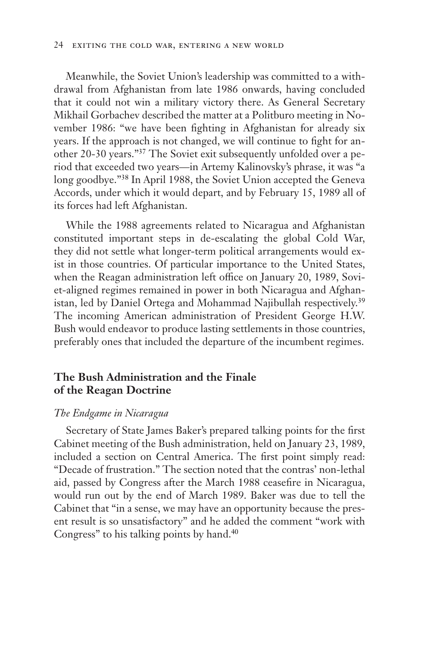Meanwhile, the Soviet Union's leadership was committed to a withdrawal from Afghanistan from late 1986 onwards, having concluded that it could not win a military victory there. As General Secretary Mikhail Gorbachev described the matter at a Politburo meeting in November 1986: "we have been fighting in Afghanistan for already six years. If the approach is not changed, we will continue to fight for another 20-30 years."37 The Soviet exit subsequently unfolded over a period that exceeded two years—in Artemy Kalinovsky's phrase, it was "a long goodbye."38 In April 1988, the Soviet Union accepted the Geneva Accords, under which it would depart, and by February 15, 1989 all of its forces had left Afghanistan.

While the 1988 agreements related to Nicaragua and Afghanistan constituted important steps in de-escalating the global Cold War, they did not settle what longer-term political arrangements would exist in those countries. Of particular importance to the United States, when the Reagan administration left office on January 20, 1989, Soviet-aligned regimes remained in power in both Nicaragua and Afghanistan, led by Daniel Ortega and Mohammad Najibullah respectively.<sup>39</sup> The incoming American administration of President George H.W. Bush would endeavor to produce lasting settlements in those countries, preferably ones that included the departure of the incumbent regimes.

### **The Bush Administration and the Finale of the Reagan Doctrine**

#### *The Endgame in Nicaragua*

Secretary of State James Baker's prepared talking points for the first Cabinet meeting of the Bush administration, held on January 23, 1989, included a section on Central America. The first point simply read: "Decade of frustration." The section noted that the contras' non-lethal aid, passed by Congress after the March 1988 ceasefire in Nicaragua, would run out by the end of March 1989. Baker was due to tell the Cabinet that "in a sense, we may have an opportunity because the present result is so unsatisfactory" and he added the comment "work with Congress" to his talking points by hand.<sup>40</sup>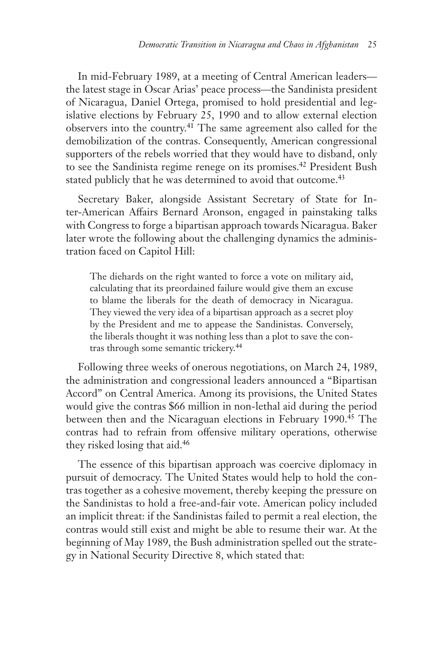In mid-February 1989, at a meeting of Central American leaders the latest stage in Oscar Arias' peace process—the Sandinista president of Nicaragua, Daniel Ortega, promised to hold presidential and legislative elections by February 25, 1990 and to allow external election observers into the country.41 The same agreement also called for the demobilization of the contras. Consequently, American congressional supporters of the rebels worried that they would have to disband, only to see the Sandinista regime renege on its promises.<sup>42</sup> President Bush stated publicly that he was determined to avoid that outcome.<sup>43</sup>

Secretary Baker, alongside Assistant Secretary of State for Inter-American Affairs Bernard Aronson, engaged in painstaking talks with Congress to forge a bipartisan approach towards Nicaragua. Baker later wrote the following about the challenging dynamics the administration faced on Capitol Hill:

The diehards on the right wanted to force a vote on military aid, calculating that its preordained failure would give them an excuse to blame the liberals for the death of democracy in Nicaragua. They viewed the very idea of a bipartisan approach as a secret ploy by the President and me to appease the Sandinistas. Conversely, the liberals thought it was nothing less than a plot to save the contras through some semantic trickery.<sup>44</sup>

Following three weeks of onerous negotiations, on March 24, 1989, the administration and congressional leaders announced a "Bipartisan Accord" on Central America. Among its provisions, the United States would give the contras \$66 million in non-lethal aid during the period between then and the Nicaraguan elections in February 1990.<sup>45</sup> The contras had to refrain from offensive military operations, otherwise they risked losing that aid.46

The essence of this bipartisan approach was coercive diplomacy in pursuit of democracy. The United States would help to hold the contras together as a cohesive movement, thereby keeping the pressure on the Sandinistas to hold a free-and-fair vote. American policy included an implicit threat: if the Sandinistas failed to permit a real election, the contras would still exist and might be able to resume their war. At the beginning of May 1989, the Bush administration spelled out the strategy in National Security Directive 8, which stated that: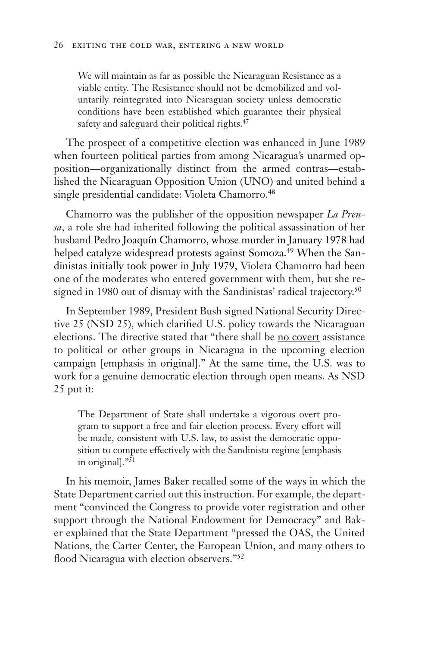We will maintain as far as possible the Nicaraguan Resistance as a viable entity. The Resistance should not be demobilized and voluntarily reintegrated into Nicaraguan society unless democratic conditions have been established which guarantee their physical safety and safeguard their political rights.<sup>47</sup>

The prospect of a competitive election was enhanced in June 1989 when fourteen political parties from among Nicaragua's unarmed opposition—organizationally distinct from the armed contras—established the Nicaraguan Opposition Union (UNO) and united behind a single presidential candidate: Violeta Chamorro.<sup>48</sup>

Chamorro was the publisher of the opposition newspaper *La Prensa*, a role she had inherited following the political assassination of her husband Pedro Joaquín Chamorro, whose murder in January 1978 had helped catalyze widespread protests against Somoza.<sup>49</sup> When the Sandinistas initially took power in July 1979, Violeta Chamorro had been one of the moderates who entered government with them, but she resigned in 1980 out of dismay with the Sandinistas' radical trajectory.<sup>50</sup>

In September 1989, President Bush signed National Security Directive 25 (NSD 25), which clarified U.S. policy towards the Nicaraguan elections. The directive stated that "there shall be no covert assistance to political or other groups in Nicaragua in the upcoming election campaign [emphasis in original]." At the same time, the U.S. was to work for a genuine democratic election through open means. As NSD 25 put it:

The Department of State shall undertake a vigorous overt program to support a free and fair election process. Every effort will be made, consistent with U.S. law, to assist the democratic opposition to compete effectively with the Sandinista regime [emphasis in original]."51

In his memoir, James Baker recalled some of the ways in which the State Department carried out this instruction. For example, the department "convinced the Congress to provide voter registration and other support through the National Endowment for Democracy" and Baker explained that the State Department "pressed the OAS, the United Nations, the Carter Center, the European Union, and many others to flood Nicaragua with election observers."52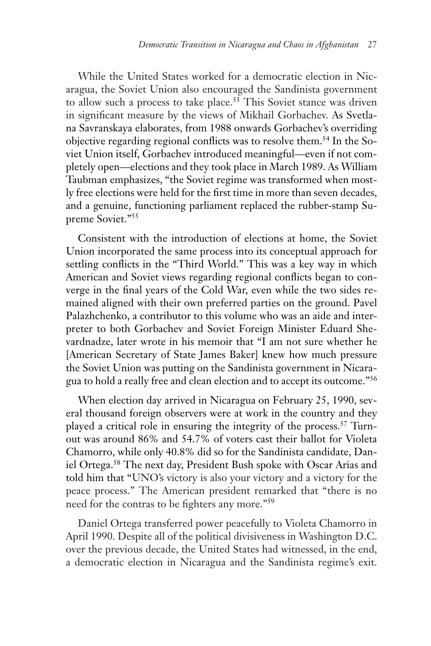While the United States worked for a democratic election in Nicaragua, the Soviet Union also encouraged the Sandinista government to allow such a process to take place.<sup>53</sup> This Soviet stance was driven in significant measure by the views of Mikhail Gorbachev. As Svetlana Savranskaya elaborates, from 1988 onwards Gorbachev's overriding objective regarding regional conflicts was to resolve them.54 In the Soviet Union itself, Gorbachev introduced meaningful—even if not completely open—elections and they took place in March 1989. As William Taubman emphasizes, "the Soviet regime was transformed when mostly free elections were held for the first time in more than seven decades, and a genuine, functioning parliament replaced the rubber-stamp Supreme Soviet."55

Consistent with the introduction of elections at home, the Soviet Union incorporated the same process into its conceptual approach for settling conflicts in the "Third World." This was a key way in which American and Soviet views regarding regional conflicts began to converge in the final years of the Cold War, even while the two sides remained aligned with their own preferred parties on the ground. Pavel Palazhchenko, a contributor to this volume who was an aide and interpreter to both Gorbachev and Soviet Foreign Minister Eduard Shevardnadze, later wrote in his memoir that "I am not sure whether he [American Secretary of State James Baker] knew how much pressure the Soviet Union was putting on the Sandinista government in Nicaragua to hold a really free and clean election and to accept its outcome."56

When election day arrived in Nicaragua on February 25, 1990, several thousand foreign observers were at work in the country and they played a critical role in ensuring the integrity of the process.57 Turnout was around 86% and 54.7% of voters cast their ballot for Violeta Chamorro, while only 40.8% did so for the Sandinista candidate, Daniel Ortega.58 The next day, President Bush spoke with Oscar Arias and told him that "UNO's victory is also your victory and a victory for the peace process." The American president remarked that "there is no need for the contras to be fighters any more."59

Daniel Ortega transferred power peacefully to Violeta Chamorro in April 1990. Despite all of the political divisiveness in Washington D.C. over the previous decade, the United States had witnessed, in the end, a democratic election in Nicaragua and the Sandinista regime's exit.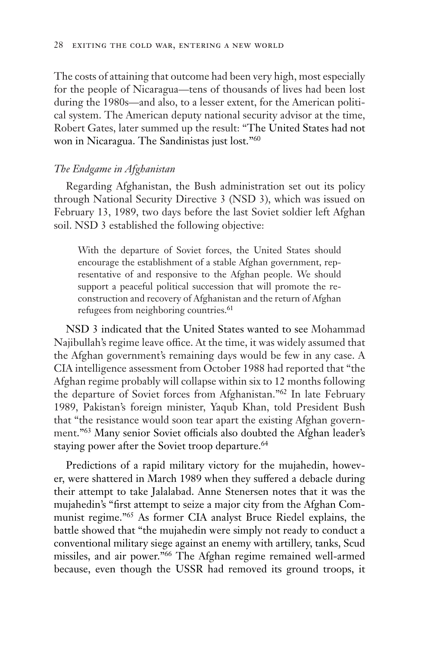The costs of attaining that outcome had been very high, most especially for the people of Nicaragua—tens of thousands of lives had been lost during the 1980s—and also, to a lesser extent, for the American political system. The American deputy national security advisor at the time, Robert Gates, later summed up the result: "The United States had not won in Nicaragua. The Sandinistas just lost."60

#### *The Endgame in Afghanistan*

Regarding Afghanistan, the Bush administration set out its policy through National Security Directive 3 (NSD 3), which was issued on February 13, 1989, two days before the last Soviet soldier left Afghan soil. NSD 3 established the following objective:

With the departure of Soviet forces, the United States should encourage the establishment of a stable Afghan government, representative of and responsive to the Afghan people. We should support a peaceful political succession that will promote the reconstruction and recovery of Afghanistan and the return of Afghan refugees from neighboring countries.<sup>61</sup>

NSD 3 indicated that the United States wanted to see Mohammad Najibullah's regime leave office. At the time, it was widely assumed that the Afghan government's remaining days would be few in any case. A CIA intelligence assessment from October 1988 had reported that "the Afghan regime probably will collapse within six to 12 months following the departure of Soviet forces from Afghanistan."62 In late February 1989, Pakistan's foreign minister, Yaqub Khan, told President Bush that "the resistance would soon tear apart the existing Afghan government."63 Many senior Soviet officials also doubted the Afghan leader's staying power after the Soviet troop departure.<sup>64</sup>

Predictions of a rapid military victory for the mujahedin, however, were shattered in March 1989 when they suffered a debacle during their attempt to take Jalalabad. Anne Stenersen notes that it was the mujahedin's "first attempt to seize a major city from the Afghan Communist regime."65 As former CIA analyst Bruce Riedel explains, the battle showed that "the mujahedin were simply not ready to conduct a conventional military siege against an enemy with artillery, tanks, Scud missiles, and air power."66 The Afghan regime remained well-armed because, even though the USSR had removed its ground troops, it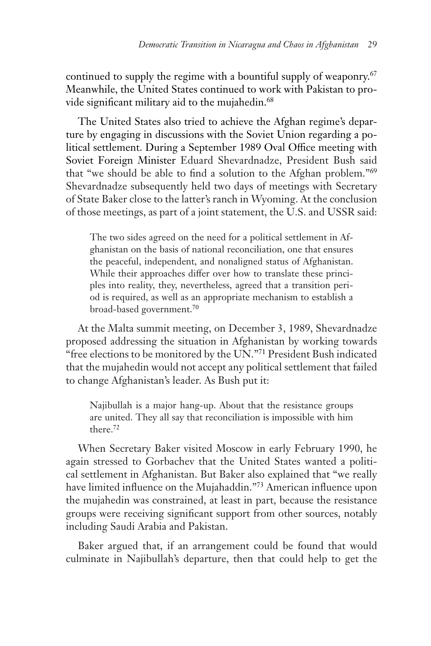continued to supply the regime with a bountiful supply of weaponry.<sup>67</sup> Meanwhile, the United States continued to work with Pakistan to provide significant military aid to the mujahedin.<sup>68</sup>

The United States also tried to achieve the Afghan regime's departure by engaging in discussions with the Soviet Union regarding a political settlement. During a September 1989 Oval Office meeting with Soviet Foreign Minister Eduard Shevardnadze, President Bush said that "we should be able to find a solution to the Afghan problem."69 Shevardnadze subsequently held two days of meetings with Secretary of State Baker close to the latter's ranch in Wyoming. At the conclusion of those meetings, as part of a joint statement, the U.S. and USSR said:

The two sides agreed on the need for a political settlement in Afghanistan on the basis of national reconciliation, one that ensures the peaceful, independent, and nonaligned status of Afghanistan. While their approaches differ over how to translate these principles into reality, they, nevertheless, agreed that a transition period is required, as well as an appropriate mechanism to establish a broad-based government.70

At the Malta summit meeting, on December 3, 1989, Shevardnadze proposed addressing the situation in Afghanistan by working towards "free elections to be monitored by the UN."71 President Bush indicated that the mujahedin would not accept any political settlement that failed to change Afghanistan's leader. As Bush put it:

Najibullah is a major hang-up. About that the resistance groups are united. They all say that reconciliation is impossible with him there.72

When Secretary Baker visited Moscow in early February 1990, he again stressed to Gorbachev that the United States wanted a political settlement in Afghanistan. But Baker also explained that "we really have limited influence on the Mujahaddin."73 American influence upon the mujahedin was constrained, at least in part, because the resistance groups were receiving significant support from other sources, notably including Saudi Arabia and Pakistan.

Baker argued that, if an arrangement could be found that would culminate in Najibullah's departure, then that could help to get the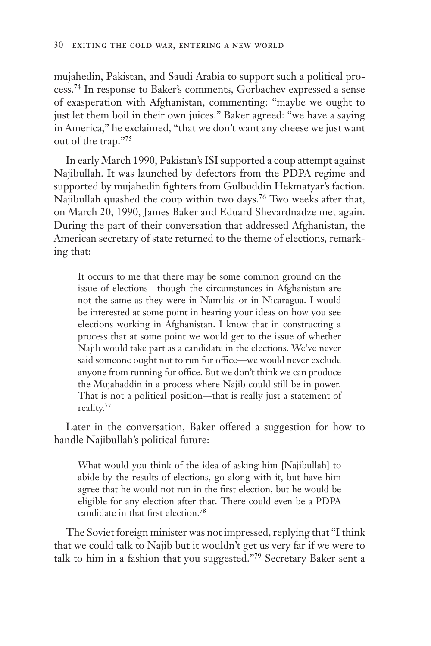mujahedin, Pakistan, and Saudi Arabia to support such a political process.74 In response to Baker's comments, Gorbachev expressed a sense of exasperation with Afghanistan, commenting: "maybe we ought to just let them boil in their own juices." Baker agreed: "we have a saying in America," he exclaimed, "that we don't want any cheese we just want out of the trap."75

In early March 1990, Pakistan's ISI supported a coup attempt against Najibullah. It was launched by defectors from the PDPA regime and supported by mujahedin fighters from Gulbuddin Hekmatyar's faction. Najibullah quashed the coup within two days.76 Two weeks after that, on March 20, 1990, James Baker and Eduard Shevardnadze met again. During the part of their conversation that addressed Afghanistan, the American secretary of state returned to the theme of elections, remarking that:

It occurs to me that there may be some common ground on the issue of elections—though the circumstances in Afghanistan are not the same as they were in Namibia or in Nicaragua. I would be interested at some point in hearing your ideas on how you see elections working in Afghanistan. I know that in constructing a process that at some point we would get to the issue of whether Najib would take part as a candidate in the elections. We've never said someone ought not to run for office—we would never exclude anyone from running for office. But we don't think we can produce the Mujahaddin in a process where Najib could still be in power. That is not a political position—that is really just a statement of reality.77

Later in the conversation, Baker offered a suggestion for how to handle Najibullah's political future:

What would you think of the idea of asking him [Najibullah] to abide by the results of elections, go along with it, but have him agree that he would not run in the first election, but he would be eligible for any election after that. There could even be a PDPA candidate in that first election.78

The Soviet foreign minister was not impressed, replying that "I think that we could talk to Najib but it wouldn't get us very far if we were to talk to him in a fashion that you suggested."79 Secretary Baker sent a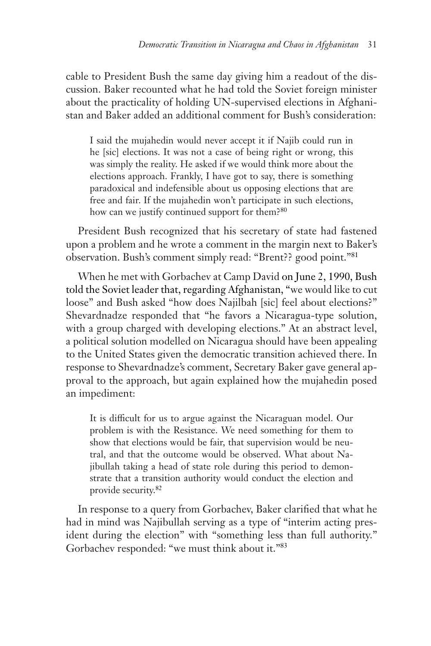cable to President Bush the same day giving him a readout of the discussion. Baker recounted what he had told the Soviet foreign minister about the practicality of holding UN-supervised elections in Afghanistan and Baker added an additional comment for Bush's consideration:

I said the mujahedin would never accept it if Najib could run in he [sic] elections. It was not a case of being right or wrong, this was simply the reality. He asked if we would think more about the elections approach. Frankly, I have got to say, there is something paradoxical and indefensible about us opposing elections that are free and fair. If the mujahedin won't participate in such elections, how can we justify continued support for them?<sup>80</sup>

President Bush recognized that his secretary of state had fastened upon a problem and he wrote a comment in the margin next to Baker's observation. Bush's comment simply read: "Brent?? good point."81

When he met with Gorbachev at Camp David on June 2, 1990, Bush told the Soviet leader that, regarding Afghanistan, "we would like to cut loose" and Bush asked "how does Najilbah [sic] feel about elections?" Shevardnadze responded that "he favors a Nicaragua-type solution, with a group charged with developing elections." At an abstract level, a political solution modelled on Nicaragua should have been appealing to the United States given the democratic transition achieved there. In response to Shevardnadze's comment, Secretary Baker gave general approval to the approach, but again explained how the mujahedin posed an impediment:

It is difficult for us to argue against the Nicaraguan model. Our problem is with the Resistance. We need something for them to show that elections would be fair, that supervision would be neutral, and that the outcome would be observed. What about Najibullah taking a head of state role during this period to demonstrate that a transition authority would conduct the election and provide security.82

In response to a query from Gorbachev, Baker clarified that what he had in mind was Najibullah serving as a type of "interim acting president during the election" with "something less than full authority." Gorbachev responded: "we must think about it."83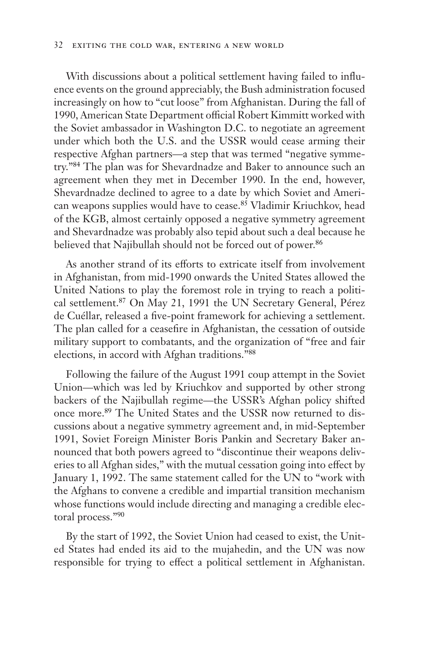#### 32 exiting the cold war, entering a new world

With discussions about a political settlement having failed to influence events on the ground appreciably, the Bush administration focused increasingly on how to "cut loose" from Afghanistan. During the fall of 1990, American State Department official Robert Kimmitt worked with the Soviet ambassador in Washington D.C. to negotiate an agreement under which both the U.S. and the USSR would cease arming their respective Afghan partners—a step that was termed "negative symmetry."84 The plan was for Shevardnadze and Baker to announce such an agreement when they met in December 1990. In the end, however, Shevardnadze declined to agree to a date by which Soviet and American weapons supplies would have to cease.<sup>85</sup> Vladimir Kriuchkov, head of the KGB, almost certainly opposed a negative symmetry agreement and Shevardnadze was probably also tepid about such a deal because he believed that Najibullah should not be forced out of power.<sup>86</sup>

As another strand of its efforts to extricate itself from involvement in Afghanistan, from mid-1990 onwards the United States allowed the United Nations to play the foremost role in trying to reach a political settlement.87 On May 21, 1991 the UN Secretary General, Pérez de Cuéllar, released a five-point framework for achieving a settlement. The plan called for a ceasefire in Afghanistan, the cessation of outside military support to combatants, and the organization of "free and fair elections, in accord with Afghan traditions."88

Following the failure of the August 1991 coup attempt in the Soviet Union—which was led by Kriuchkov and supported by other strong backers of the Najibullah regime—the USSR's Afghan policy shifted once more.89 The United States and the USSR now returned to discussions about a negative symmetry agreement and, in mid-September 1991, Soviet Foreign Minister Boris Pankin and Secretary Baker announced that both powers agreed to "discontinue their weapons deliveries to all Afghan sides," with the mutual cessation going into effect by January 1, 1992. The same statement called for the UN to "work with the Afghans to convene a credible and impartial transition mechanism whose functions would include directing and managing a credible electoral process."90

By the start of 1992, the Soviet Union had ceased to exist, the United States had ended its aid to the mujahedin, and the UN was now responsible for trying to effect a political settlement in Afghanistan.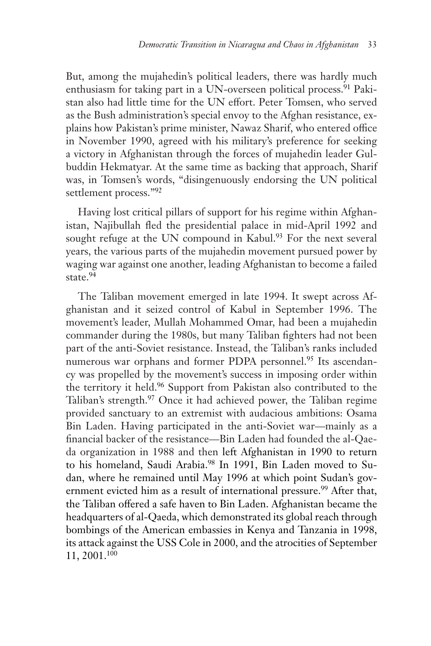But, among the mujahedin's political leaders, there was hardly much enthusiasm for taking part in a UN-overseen political process.<sup>91</sup> Pakistan also had little time for the UN effort. Peter Tomsen, who served as the Bush administration's special envoy to the Afghan resistance, explains how Pakistan's prime minister, Nawaz Sharif, who entered office in November 1990, agreed with his military's preference for seeking a victory in Afghanistan through the forces of mujahedin leader Gulbuddin Hekmatyar. At the same time as backing that approach, Sharif was, in Tomsen's words, "disingenuously endorsing the UN political settlement process."92

Having lost critical pillars of support for his regime within Afghanistan, Najibullah fled the presidential palace in mid-April 1992 and sought refuge at the UN compound in Kabul.<sup>93</sup> For the next several years, the various parts of the mujahedin movement pursued power by waging war against one another, leading Afghanistan to become a failed state.<sup>94</sup>

The Taliban movement emerged in late 1994. It swept across Afghanistan and it seized control of Kabul in September 1996. The movement's leader, Mullah Mohammed Omar, had been a mujahedin commander during the 1980s, but many Taliban fighters had not been part of the anti-Soviet resistance. Instead, the Taliban's ranks included numerous war orphans and former PDPA personnel.<sup>95</sup> Its ascendancy was propelled by the movement's success in imposing order within the territory it held.96 Support from Pakistan also contributed to the Taliban's strength.<sup>97</sup> Once it had achieved power, the Taliban regime provided sanctuary to an extremist with audacious ambitions: Osama Bin Laden. Having participated in the anti-Soviet war—mainly as a financial backer of the resistance—Bin Laden had founded the al-Qaeda organization in 1988 and then left Afghanistan in 1990 to return to his homeland, Saudi Arabia.<sup>98</sup> In 1991, Bin Laden moved to Sudan, where he remained until May 1996 at which point Sudan's government evicted him as a result of international pressure.<sup>99</sup> After that, the Taliban offered a safe haven to Bin Laden. Afghanistan became the headquarters of al-Qaeda, which demonstrated its global reach through bombings of the American embassies in Kenya and Tanzania in 1998, its attack against the USS Cole in 2000, and the atrocities of September 11, 2001.100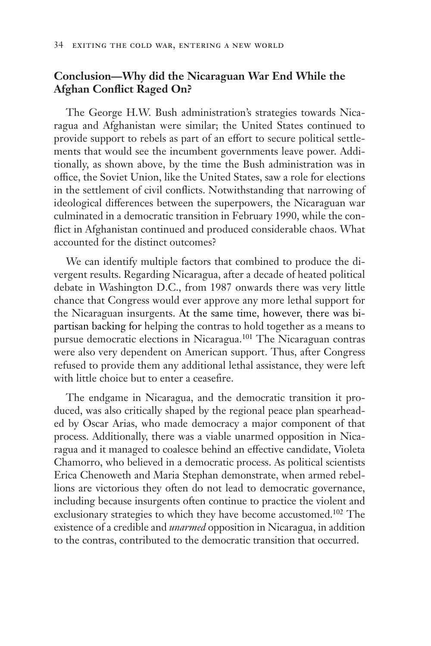### **Conclusion—Why did the Nicaraguan War End While the Afghan Conflict Raged On?**

The George H.W. Bush administration's strategies towards Nicaragua and Afghanistan were similar; the United States continued to provide support to rebels as part of an effort to secure political settlements that would see the incumbent governments leave power. Additionally, as shown above, by the time the Bush administration was in office, the Soviet Union, like the United States, saw a role for elections in the settlement of civil conflicts. Notwithstanding that narrowing of ideological differences between the superpowers, the Nicaraguan war culminated in a democratic transition in February 1990, while the conflict in Afghanistan continued and produced considerable chaos. What accounted for the distinct outcomes?

We can identify multiple factors that combined to produce the divergent results. Regarding Nicaragua, after a decade of heated political debate in Washington D.C., from 1987 onwards there was very little chance that Congress would ever approve any more lethal support for the Nicaraguan insurgents. At the same time, however, there was bipartisan backing for helping the contras to hold together as a means to pursue democratic elections in Nicaragua.101 The Nicaraguan contras were also very dependent on American support. Thus, after Congress refused to provide them any additional lethal assistance, they were left with little choice but to enter a ceasefire.

The endgame in Nicaragua, and the democratic transition it produced, was also critically shaped by the regional peace plan spearheaded by Oscar Arias, who made democracy a major component of that process. Additionally, there was a viable unarmed opposition in Nicaragua and it managed to coalesce behind an effective candidate, Violeta Chamorro, who believed in a democratic process. As political scientists Erica Chenoweth and Maria Stephan demonstrate, when armed rebellions are victorious they often do not lead to democratic governance, including because insurgents often continue to practice the violent and exclusionary strategies to which they have become accustomed.<sup>102</sup> The existence of a credible and *unarmed* opposition in Nicaragua, in addition to the contras, contributed to the democratic transition that occurred.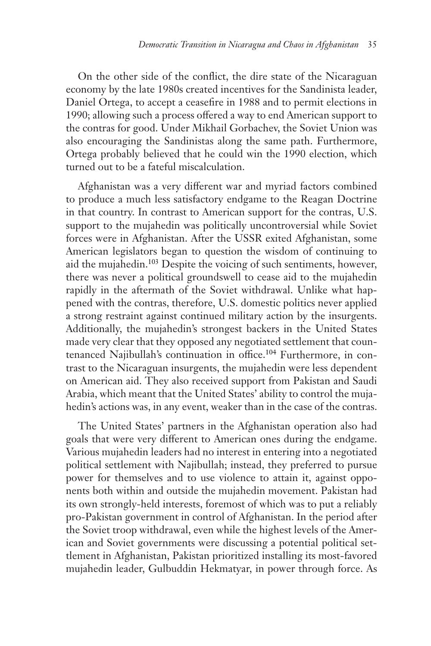On the other side of the conflict, the dire state of the Nicaraguan economy by the late 1980s created incentives for the Sandinista leader, Daniel Ortega, to accept a ceasefire in 1988 and to permit elections in 1990; allowing such a process offered a way to end American support to the contras for good. Under Mikhail Gorbachev, the Soviet Union was also encouraging the Sandinistas along the same path. Furthermore, Ortega probably believed that he could win the 1990 election, which turned out to be a fateful miscalculation.

Afghanistan was a very different war and myriad factors combined to produce a much less satisfactory endgame to the Reagan Doctrine in that country. In contrast to American support for the contras, U.S. support to the mujahedin was politically uncontroversial while Soviet forces were in Afghanistan. After the USSR exited Afghanistan, some American legislators began to question the wisdom of continuing to aid the mujahedin.103 Despite the voicing of such sentiments, however, there was never a political groundswell to cease aid to the mujahedin rapidly in the aftermath of the Soviet withdrawal. Unlike what happened with the contras, therefore, U.S. domestic politics never applied a strong restraint against continued military action by the insurgents. Additionally, the mujahedin's strongest backers in the United States made very clear that they opposed any negotiated settlement that countenanced Najibullah's continuation in office.104 Furthermore, in contrast to the Nicaraguan insurgents, the mujahedin were less dependent on American aid. They also received support from Pakistan and Saudi Arabia, which meant that the United States' ability to control the mujahedin's actions was, in any event, weaker than in the case of the contras.

The United States' partners in the Afghanistan operation also had goals that were very different to American ones during the endgame. Various mujahedin leaders had no interest in entering into a negotiated political settlement with Najibullah; instead, they preferred to pursue power for themselves and to use violence to attain it, against opponents both within and outside the mujahedin movement. Pakistan had its own strongly-held interests, foremost of which was to put a reliably pro-Pakistan government in control of Afghanistan. In the period after the Soviet troop withdrawal, even while the highest levels of the American and Soviet governments were discussing a potential political settlement in Afghanistan, Pakistan prioritized installing its most-favored mujahedin leader, Gulbuddin Hekmatyar, in power through force. As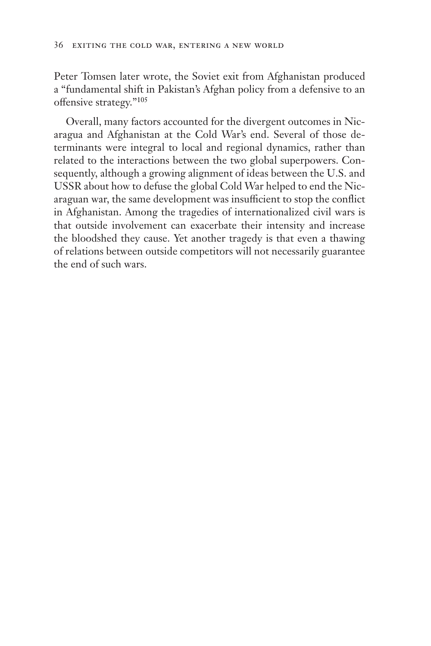Peter Tomsen later wrote, the Soviet exit from Afghanistan produced a "fundamental shift in Pakistan's Afghan policy from a defensive to an offensive strategy."105

Overall, many factors accounted for the divergent outcomes in Nicaragua and Afghanistan at the Cold War's end. Several of those determinants were integral to local and regional dynamics, rather than related to the interactions between the two global superpowers. Consequently, although a growing alignment of ideas between the U.S. and USSR about how to defuse the global Cold War helped to end the Nicaraguan war, the same development was insufficient to stop the conflict in Afghanistan. Among the tragedies of internationalized civil wars is that outside involvement can exacerbate their intensity and increase the bloodshed they cause. Yet another tragedy is that even a thawing of relations between outside competitors will not necessarily guarantee the end of such wars.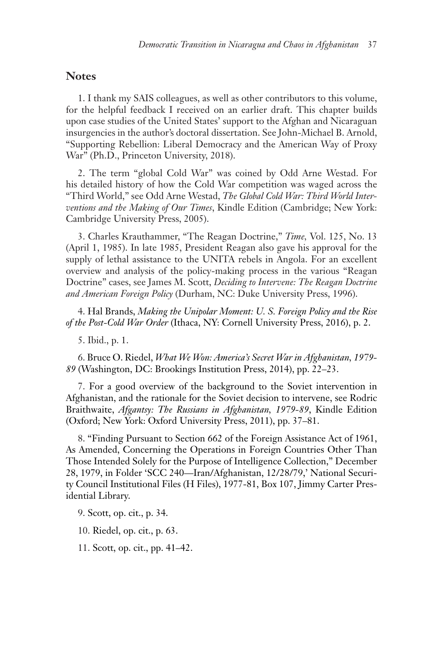### **Notes**

1. I thank my SAIS colleagues, as well as other contributors to this volume, for the helpful feedback I received on an earlier draft. This chapter builds upon case studies of the United States' support to the Afghan and Nicaraguan insurgencies in the author's doctoral dissertation. See John-Michael B. Arnold, "Supporting Rebellion: Liberal Democracy and the American Way of Proxy War" (Ph.D., Princeton University, 2018).

2. The term "global Cold War" was coined by Odd Arne Westad. For his detailed history of how the Cold War competition was waged across the "Third World," see Odd Arne Westad, *The Global Cold War: Third World Interventions and the Making of Our Times*, Kindle Edition (Cambridge; New York: Cambridge University Press, 2005).

3. Charles Krauthammer, "The Reagan Doctrine," *Time,* Vol. 125, No. 13 (April 1, 1985). In late 1985, President Reagan also gave his approval for the supply of lethal assistance to the UNITA rebels in Angola. For an excellent overview and analysis of the policy-making process in the various "Reagan Doctrine" cases, see James M. Scott, *Deciding to Intervene: The Reagan Doctrine and American Foreign Policy* (Durham, NC: Duke University Press, 1996).

4. Hal Brands, *Making the Unipolar Moment: U. S. Foreign Policy and the Rise of the Post-Cold War Order* (Ithaca, NY: Cornell University Press, 2016), p. 2.

5. Ibid., p. 1.

6. Bruce O. Riedel, *What We Won: America's Secret War in Afghanistan, 1979- 89* (Washington, DC: Brookings Institution Press, 2014), pp. 22–23.

7. For a good overview of the background to the Soviet intervention in Afghanistan, and the rationale for the Soviet decision to intervene, see Rodric Braithwaite, *Afgantsy: The Russians in Afghanistan, 1979-89*, Kindle Edition (Oxford; New York: Oxford University Press, 2011), pp. 37–81.

8. "Finding Pursuant to Section 662 of the Foreign Assistance Act of 1961, As Amended, Concerning the Operations in Foreign Countries Other Than Those Intended Solely for the Purpose of Intelligence Collection," December 28, 1979, in Folder 'SCC 240—Iran/Afghanistan, 12/28/79,' National Security Council Institutional Files (H Files), 1977-81, Box 107, Jimmy Carter Presidential Library.

9. Scott, op. cit., p. 34.

10. Riedel, op. cit., p. 63.

11. Scott, op. cit., pp. 41–42.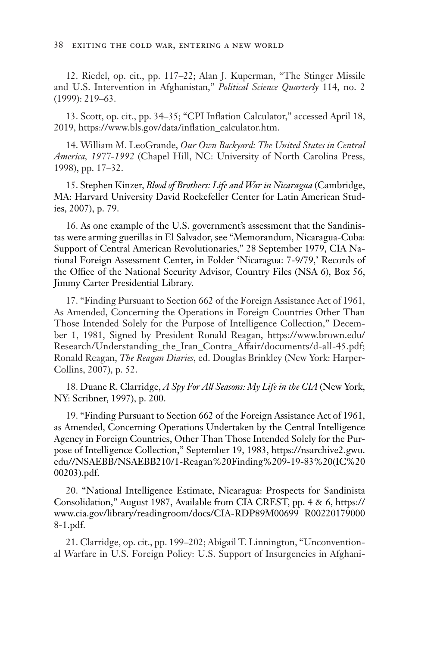12. Riedel, op. cit., pp. 117–22; Alan J. Kuperman, "The Stinger Missile and U.S. Intervention in Afghanistan," *Political Science Quarterly* 114, no. 2 (1999): 219–63.

13. Scott, op. cit., pp. 34–35; "CPI Inflation Calculator," accessed April 18, 2019, https://www.bls.gov/data/inflation\_calculator.htm.

14. William M. LeoGrande, *Our Own Backyard: The United States in Central America, 1977-1992* (Chapel Hill, NC: University of North Carolina Press, 1998), pp. 17–32.

15. Stephen Kinzer, *Blood of Brothers: Life and War in Nicaragua* (Cambridge, MA: Harvard University David Rockefeller Center for Latin American Studies, 2007), p. 79.

16. As one example of the U.S. government's assessment that the Sandinistas were arming guerillas in El Salvador, see "Memorandum, Nicaragua-Cuba: Support of Central American Revolutionaries," 28 September 1979, CIA National Foreign Assessment Center, in Folder 'Nicaragua: 7-9/79,' Records of the Office of the National Security Advisor, Country Files (NSA 6), Box 56, Jimmy Carter Presidential Library.

17. "Finding Pursuant to Section 662 of the Foreign Assistance Act of 1961, As Amended, Concerning the Operations in Foreign Countries Other Than Those Intended Solely for the Purpose of Intelligence Collection," December 1, 1981, Signed by President Ronald Reagan, https://www.brown.edu/ Research/Understanding\_the\_Iran\_Contra\_Affair/documents/d-all-45.pdf; Ronald Reagan, *The Reagan Diaries*, ed. Douglas Brinkley (New York: Harper-Collins, 2007), p. 52.

18. Duane R. Clarridge, *A Spy For All Seasons: My Life in the CIA* (New York, NY: Scribner, 1997), p. 200.

19. "Finding Pursuant to Section 662 of the Foreign Assistance Act of 1961, as Amended, Concerning Operations Undertaken by the Central Intelligence Agency in Foreign Countries, Other Than Those Intended Solely for the Purpose of Intelligence Collection," September 19, 1983, https://nsarchive2.gwu. edu//NSAEBB/NSAEBB210/1-Reagan%20Finding%209-19-83%20(IC%20 00203).pdf.

20. "National Intelligence Estimate, Nicaragua: Prospects for Sandinista Consolidation," August 1987, Available from CIA CREST, pp. 4 & 6, https:// www.cia.gov/library/readingroom/docs/CIA-RDP89M00699 R00220179000 8-1.pdf.

21. Clarridge, op. cit., pp. 199–202; Abigail T. Linnington, "Unconventional Warfare in U.S. Foreign Policy: U.S. Support of Insurgencies in Afghani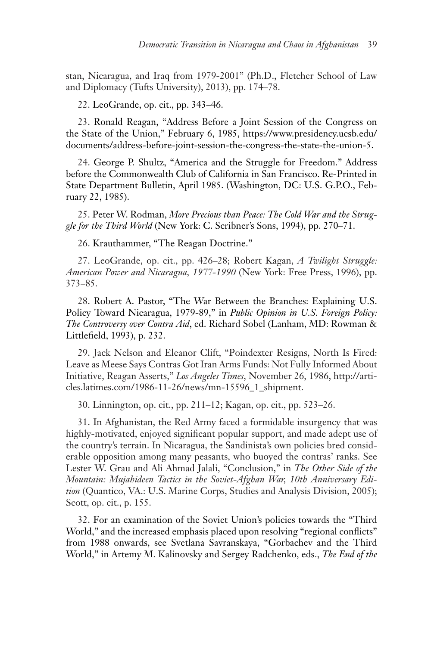stan, Nicaragua, and Iraq from 1979-2001" (Ph.D., Fletcher School of Law and Diplomacy (Tufts University), 2013), pp. 174–78.

22. LeoGrande, op. cit., pp. 343–46.

23. Ronald Reagan, "Address Before a Joint Session of the Congress on the State of the Union," February 6, 1985, https://www.presidency.ucsb.edu/ documents/address-before-joint-session-the-congress-the-state-the-union-5.

24. George P. Shultz, "America and the Struggle for Freedom." Address before the Commonwealth Club of California in San Francisco. Re-Printed in State Department Bulletin, April 1985. (Washington, DC: U.S. G.P.O., February 22, 1985).

25. Peter W. Rodman, *More Precious than Peace: The Cold War and the Struggle for the Third World* (New York: C. Scribner's Sons, 1994), pp. 270–71.

26. Krauthammer, "The Reagan Doctrine."

27. LeoGrande, op. cit., pp. 426–28; Robert Kagan, *A Twilight Struggle: American Power and Nicaragua, 1977-1990* (New York: Free Press, 1996), pp. 373–85.

28. Robert A. Pastor, "The War Between the Branches: Explaining U.S. Policy Toward Nicaragua, 1979-89," in *Public Opinion in U.S. Foreign Policy: The Controversy over Contra Aid*, ed. Richard Sobel (Lanham, MD: Rowman & Littlefield, 1993), p. 232.

29. Jack Nelson and Eleanor Clift, "Poindexter Resigns, North Is Fired: Leave as Meese Says Contras Got Iran Arms Funds: Not Fully Informed About Initiative, Reagan Asserts," *Los Angeles Times*, November 26, 1986, http://articles.latimes.com/1986-11-26/news/mn-15596\_1\_shipment.

30. Linnington, op. cit., pp. 211–12; Kagan, op. cit., pp. 523–26.

31. In Afghanistan, the Red Army faced a formidable insurgency that was highly-motivated, enjoyed significant popular support, and made adept use of the country's terrain. In Nicaragua, the Sandinista's own policies bred considerable opposition among many peasants, who buoyed the contras' ranks. See Lester W. Grau and Ali Ahmad Jalali, "Conclusion," in *The Other Side of the Mountain: Mujahideen Tactics in the Soviet-Afghan War, 10th Anniversary Edition* (Quantico, VA.: U.S. Marine Corps, Studies and Analysis Division, 2005); Scott, op. cit., p. 155.

32. For an examination of the Soviet Union's policies towards the "Third World," and the increased emphasis placed upon resolving "regional conflicts" from 1988 onwards, see Svetlana Savranskaya, "Gorbachev and the Third World," in Artemy M. Kalinovsky and Sergey Radchenko, eds., *The End of the*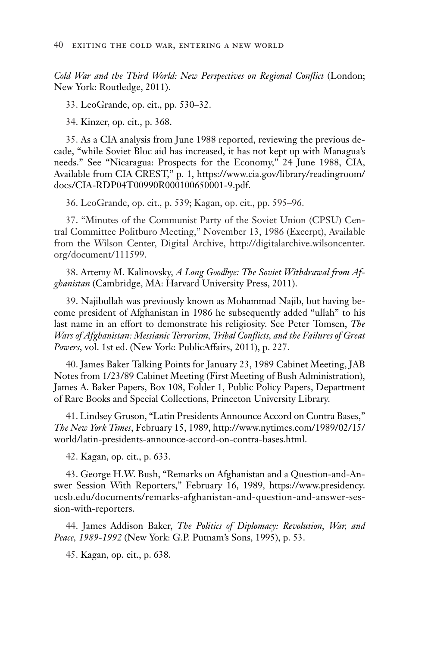*Cold War and the Third World: New Perspectives on Regional Conflict* (London; New York: Routledge, 2011).

33. LeoGrande, op. cit., pp. 530–32.

34. Kinzer, op. cit., p. 368.

35. As a CIA analysis from June 1988 reported, reviewing the previous decade, "while Soviet Bloc aid has increased, it has not kept up with Managua's needs." See "Nicaragua: Prospects for the Economy," 24 June 1988, CIA, Available from CIA CREST," p. 1, https://www.cia.gov/library/readingroom/ docs/CIA-RDP04T00990R000100650001-9.pdf.

36. LeoGrande, op. cit., p. 539; Kagan, op. cit., pp. 595–96.

37. "Minutes of the Communist Party of the Soviet Union (CPSU) Central Committee Politburo Meeting," November 13, 1986 (Excerpt), Available from the Wilson Center, Digital Archive, http://digitalarchive.wilsoncenter. org/document/111599.

38. Artemy M. Kalinovsky, *A Long Goodbye: The Soviet Withdrawal from Afghanistan* (Cambridge, MA: Harvard University Press, 2011).

39. Najibullah was previously known as Mohammad Najib, but having become president of Afghanistan in 1986 he subsequently added "ullah" to his last name in an effort to demonstrate his religiosity. See Peter Tomsen, *The Wars of Afghanistan: Messianic Terrorism, Tribal Conflicts, and the Failures of Great Powers*, vol. 1st ed. (New York: PublicAffairs, 2011), p. 227.

40. James Baker Talking Points for January 23, 1989 Cabinet Meeting, JAB Notes from 1/23/89 Cabinet Meeting (First Meeting of Bush Administration), James A. Baker Papers, Box 108, Folder 1, Public Policy Papers, Department of Rare Books and Special Collections, Princeton University Library.

41. Lindsey Gruson, "Latin Presidents Announce Accord on Contra Bases," *The New York Times*, February 15, 1989, http://www.nytimes.com/1989/02/15/ world/latin-presidents-announce-accord-on-contra-bases.html.

42. Kagan, op. cit., p. 633.

43. George H.W. Bush, "Remarks on Afghanistan and a Question-and-Answer Session With Reporters," February 16, 1989, https://www.presidency. ucsb.edu/documents/remarks-afghanistan-and-question-and-answer-session-with-reporters.

44. James Addison Baker, *The Politics of Diplomacy: Revolution, War, and Peace, 1989-1992* (New York: G.P. Putnam's Sons, 1995), p. 53.

45. Kagan, op. cit., p. 638.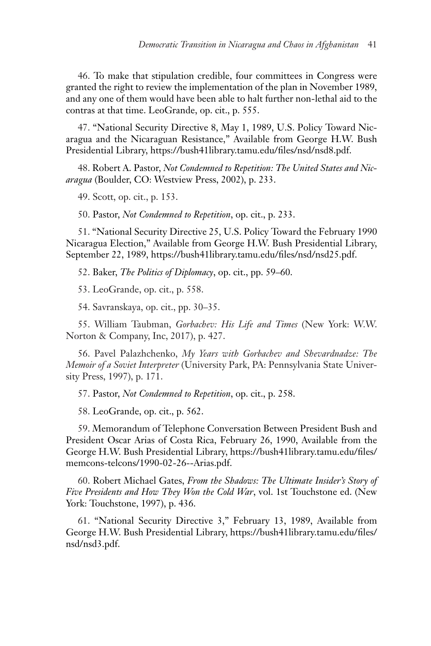46. To make that stipulation credible, four committees in Congress were granted the right to review the implementation of the plan in November 1989, and any one of them would have been able to halt further non-lethal aid to the contras at that time. LeoGrande, op. cit., p. 555.

47. "National Security Directive 8, May 1, 1989, U.S. Policy Toward Nicaragua and the Nicaraguan Resistance," Available from George H.W. Bush Presidential Library, https://bush41library.tamu.edu/files/nsd/nsd8.pdf.

48. Robert A. Pastor, *Not Condemned to Repetition: The United States and Nicaragua* (Boulder, CO: Westview Press, 2002), p. 233.

49. Scott, op. cit., p. 153.

50. Pastor, *Not Condemned to Repetition*, op. cit., p. 233.

51. "National Security Directive 25, U.S. Policy Toward the February 1990 Nicaragua Election," Available from George H.W. Bush Presidential Library, September 22, 1989, https://bush41library.tamu.edu/files/nsd/nsd25.pdf.

52. Baker, *The Politics of Diplomacy*, op. cit., pp. 59–60.

53. LeoGrande, op. cit., p. 558.

54. Savranskaya, op. cit., pp. 30–35.

55. William Taubman, *Gorbachev: His Life and Times* (New York: W.W. Norton & Company, Inc, 2017), p. 427.

56. Pavel Palazhchenko, *My Years with Gorbachev and Shevardnadze: The Memoir of a Soviet Interpreter* (University Park, PA: Pennsylvania State University Press, 1997), p. 171.

57. Pastor, *Not Condemned to Repetition*, op. cit., p. 258.

58. LeoGrande, op. cit., p. 562.

59. Memorandum of Telephone Conversation Between President Bush and President Oscar Arias of Costa Rica, February 26, 1990, Available from the George H.W. Bush Presidential Library, https://bush41library.tamu.edu/files/ memcons-telcons/1990-02-26--Arias.pdf.

60. Robert Michael Gates, *From the Shadows: The Ultimate Insider's Story of Five Presidents and How They Won the Cold War*, vol. 1st Touchstone ed. (New York: Touchstone, 1997), p. 436.

61. "National Security Directive 3," February 13, 1989, Available from George H.W. Bush Presidential Library, https://bush41library.tamu.edu/files/ nsd/nsd3.pdf.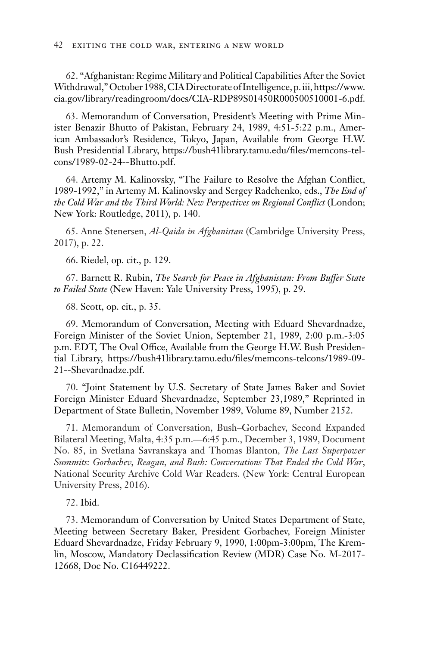62. "Afghanistan: Regime Military and Political Capabilities After the Soviet Withdrawal," October 1988, CIA Directorate of Intelligence, p. iii, https://www. cia.gov/library/readingroom/docs/CIA-RDP89S01450R000500510001-6.pdf.

63. Memorandum of Conversation, President's Meeting with Prime Minister Benazir Bhutto of Pakistan, February 24, 1989, 4:51-5:22 p.m., American Ambassador's Residence, Tokyo, Japan, Available from George H.W. Bush Presidential Library, https://bush41library.tamu.edu/files/memcons-telcons/1989-02-24--Bhutto.pdf.

64. Artemy M. Kalinovsky, "The Failure to Resolve the Afghan Conflict, 1989-1992," in Artemy M. Kalinovsky and Sergey Radchenko, eds., *The End of the Cold War and the Third World: New Perspectives on Regional Conflict* (London; New York: Routledge, 2011), p. 140.

65. Anne Stenersen, *Al-Qaida in Afghanistan* (Cambridge University Press, 2017), p. 22.

66. Riedel, op. cit., p. 129.

67. Barnett R. Rubin, *The Search for Peace in Afghanistan: From Buffer State to Failed State* (New Haven: Yale University Press, 1995), p. 29.

68. Scott, op. cit., p. 35.

69. Memorandum of Conversation, Meeting with Eduard Shevardnadze, Foreign Minister of the Soviet Union, September 21, 1989, 2:00 p.m.-3:05 p.m. EDT, The Oval Office, Available from the George H.W. Bush Presidential Library, https://bush41library.tamu.edu/files/memcons-telcons/1989-09- 21--Shevardnadze.pdf.

70. "Joint Statement by U.S. Secretary of State James Baker and Soviet Foreign Minister Eduard Shevardnadze, September 23,1989," Reprinted in Department of State Bulletin, November 1989, Volume 89, Number 2152.

71. Memorandum of Conversation, Bush–Gorbachev, Second Expanded Bilateral Meeting, Malta, 4:35 p.m.—6:45 p.m., December 3, 1989, Document No. 85, in Svetlana Savranskaya and Thomas Blanton, *The Last Superpower Summits: Gorbachev, Reagan, and Bush: Conversations That Ended the Cold War*, National Security Archive Cold War Readers. (New York: Central European University Press, 2016).

72. Ibid.

73. Memorandum of Conversation by United States Department of State, Meeting between Secretary Baker, President Gorbachev, Foreign Minister Eduard Shevardnadze, Friday February 9, 1990, 1:00pm-3:00pm, The Kremlin, Moscow, Mandatory Declassification Review (MDR) Case No. M-2017- 12668, Doc No. C16449222.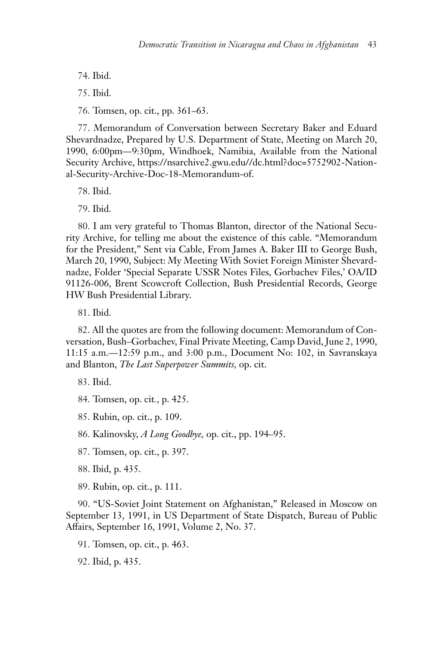74. Ibid.

75. Ibid.

76. Tomsen, op. cit., pp. 361–63.

77. Memorandum of Conversation between Secretary Baker and Eduard Shevardnadze, Prepared by U.S. Department of State, Meeting on March 20, 1990, 6:00pm—9:30pm, Windhoek, Namibia, Available from the National Security Archive, https://nsarchive2.gwu.edu//dc.html?doc=5752902-National-Security-Archive-Doc-18-Memorandum-of.

78. Ibid.

79. Ibid.

80. I am very grateful to Thomas Blanton, director of the National Security Archive, for telling me about the existence of this cable. "Memorandum for the President," Sent via Cable, From James A. Baker III to George Bush, March 20, 1990, Subject: My Meeting With Soviet Foreign Minister Shevardnadze, Folder 'Special Separate USSR Notes Files, Gorbachev Files,' OA/ID 91126-006, Brent Scowcroft Collection, Bush Presidential Records, George HW Bush Presidential Library.

81. Ibid.

82. All the quotes are from the following document: Memorandum of Conversation, Bush–Gorbachev, Final Private Meeting, Camp David, June 2, 1990, 11:15 a.m.—12:59 p.m., and 3:00 p.m., Document No: 102, in Savranskaya and Blanton, *The Last Superpower Summits,* op. cit.

83. Ibid.

84. Tomsen, op. cit*.*, p. 425.

85. Rubin, op. cit., p. 109.

86. Kalinovsky, *A Long Goodbye,* op. cit., pp. 194–95.

87. Tomsen, op. cit., p. 397.

88. Ibid, p. 435.

89. Rubin, op. cit., p. 111.

90. "US-Soviet Joint Statement on Afghanistan," Released in Moscow on September 13, 1991, in US Department of State Dispatch, Bureau of Public Affairs, September 16, 1991, Volume 2, No. 37.

91. Tomsen, op. cit., p. 463.

92. Ibid, p. 435.